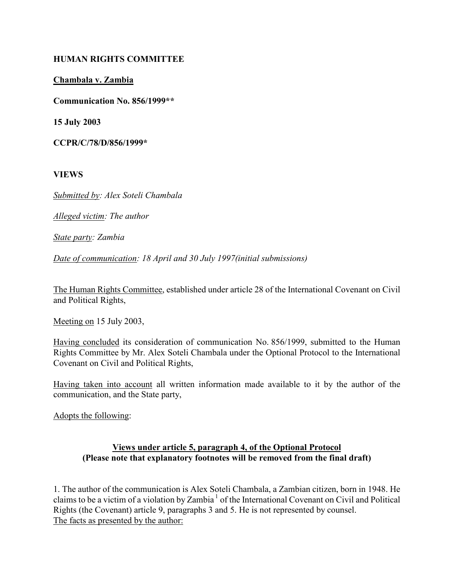# HUMAN RIGHTS COMMITTEE

## Chambala v. Zambia

Communication No. 856/1999\*\*

15 July 2003

CCPR/C/78/D/856/1999\*

VIEWS

Submitted by: Alex Soteli Chambala

Alleged victim: The author

State party: Zambia

Date of communication: 18 April and 30 July 1997(initial submissions)

The Human Rights Committee, established under article 28 of the International Covenant on Civil and Political Rights,

Meeting on 15 July 2003,

Having concluded its consideration of communication No. 856/1999, submitted to the Human Rights Committee by Mr. Alex Soteli Chambala under the Optional Protocol to the International Covenant on Civil and Political Rights,

Having taken into account all written information made available to it by the author of the communication, and the State party,

Adopts the following:

### Views under article 5, paragraph 4, of the Optional Protocol (Please note that explanatory footnotes will be removed from the final draft)

1. The author of the communication is Alex Soteli Chambala, a Zambian citizen, born in 1948. He claims to be a victim of a violation by Zambia<sup>1</sup> of the International Covenant on Civil and Political Rights (the Covenant) article 9, paragraphs 3 and 5. He is not represented by counsel. The facts as presented by the author: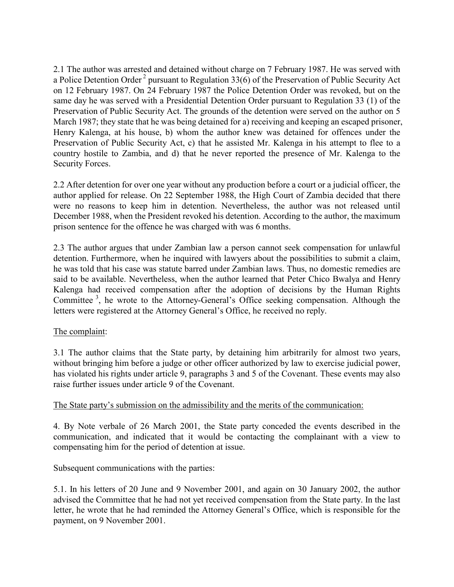2.1 The author was arrested and detained without charge on 7 February 1987. He was served with a Police Detention Order<sup>2</sup> pursuant to Regulation  $33(6)$  of the Preservation of Public Security Act on 12 February 1987. On 24 February 1987 the Police Detention Order was revoked, but on the same day he was served with a Presidential Detention Order pursuant to Regulation 33 (1) of the Preservation of Public Security Act. The grounds of the detention were served on the author on 5 March 1987; they state that he was being detained for a) receiving and keeping an escaped prisoner, Henry Kalenga, at his house, b) whom the author knew was detained for offences under the Preservation of Public Security Act, c) that he assisted Mr. Kalenga in his attempt to flee to a country hostile to Zambia, and d) that he never reported the presence of Mr. Kalenga to the Security Forces.

2.2 After detention for over one year without any production before a court or a judicial officer, the author applied for release. On 22 September 1988, the High Court of Zambia decided that there were no reasons to keep him in detention. Nevertheless, the author was not released until December 1988, when the President revoked his detention. According to the author, the maximum prison sentence for the offence he was charged with was 6 months.

2.3 The author argues that under Zambian law a person cannot seek compensation for unlawful detention. Furthermore, when he inquired with lawyers about the possibilities to submit a claim, he was told that his case was statute barred under Zambian laws. Thus, no domestic remedies are said to be available. Nevertheless, when the author learned that Peter Chico Bwalya and Henry Kalenga had received compensation after the adoption of decisions by the Human Rights Committee<sup>3</sup>, he wrote to the Attorney-General's Office seeking compensation. Although the letters were registered at the Attorney General's Office, he received no reply.

# The complaint:

3.1 The author claims that the State party, by detaining him arbitrarily for almost two years, without bringing him before a judge or other officer authorized by law to exercise judicial power, has violated his rights under article 9, paragraphs 3 and 5 of the Covenant. These events may also raise further issues under article 9 of the Covenant.

#### The State party's submission on the admissibility and the merits of the communication:

4. By Note verbale of 26 March 2001, the State party conceded the events described in the communication, and indicated that it would be contacting the complainant with a view to compensating him for the period of detention at issue.

Subsequent communications with the parties:

5.1. In his letters of 20 June and 9 November 2001, and again on 30 January 2002, the author advised the Committee that he had not yet received compensation from the State party. In the last letter, he wrote that he had reminded the Attorney General's Office, which is responsible for the payment, on 9 November 2001.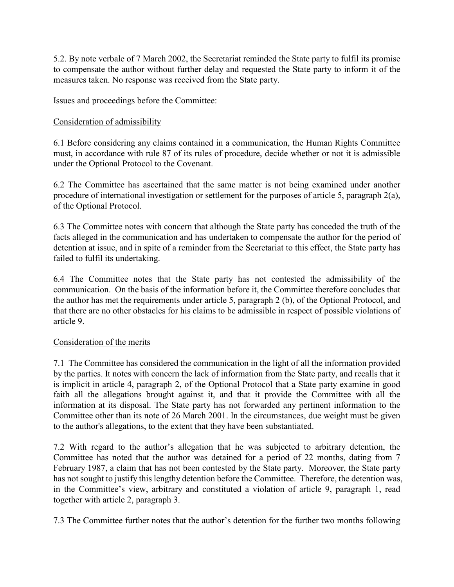5.2. By note verbale of 7 March 2002, the Secretariat reminded the State party to fulfil its promise to compensate the author without further delay and requested the State party to inform it of the measures taken. No response was received from the State party.

## Issues and proceedings before the Committee:

## Consideration of admissibility

6.1 Before considering any claims contained in a communication, the Human Rights Committee must, in accordance with rule 87 of its rules of procedure, decide whether or not it is admissible under the Optional Protocol to the Covenant.

6.2 The Committee has ascertained that the same matter is not being examined under another procedure of international investigation or settlement for the purposes of article 5, paragraph 2(a), of the Optional Protocol.

6.3 The Committee notes with concern that although the State party has conceded the truth of the facts alleged in the communication and has undertaken to compensate the author for the period of detention at issue, and in spite of a reminder from the Secretariat to this effect, the State party has failed to fulfil its undertaking.

6.4 The Committee notes that the State party has not contested the admissibility of the communication. On the basis of the information before it, the Committee therefore concludes that the author has met the requirements under article 5, paragraph 2 (b), of the Optional Protocol, and that there are no other obstacles for his claims to be admissible in respect of possible violations of article 9.

#### Consideration of the merits

7.1 The Committee has considered the communication in the light of all the information provided by the parties. It notes with concern the lack of information from the State party, and recalls that it is implicit in article 4, paragraph 2, of the Optional Protocol that a State party examine in good faith all the allegations brought against it, and that it provide the Committee with all the information at its disposal. The State party has not forwarded any pertinent information to the Committee other than its note of 26 March 2001. In the circumstances, due weight must be given to the author's allegations, to the extent that they have been substantiated.

7.2 With regard to the author's allegation that he was subjected to arbitrary detention, the Committee has noted that the author was detained for a period of 22 months, dating from 7 February 1987, a claim that has not been contested by the State party. Moreover, the State party has not sought to justify this lengthy detention before the Committee. Therefore, the detention was, in the Committee's view, arbitrary and constituted a violation of article 9, paragraph 1, read together with article 2, paragraph 3.

7.3 The Committee further notes that the author's detention for the further two months following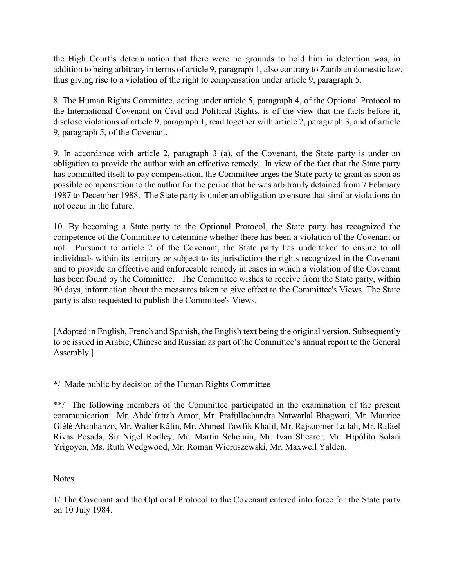the High Court's determination that there were no grounds to hold him in detention was, in addition to being arbitrary in terms of article 9, paragraph 1, also contrary to Zambian domestic law, thus giving rise to a violation of the right to compensation under article 9, paragraph 5.

8. The Human Rights Committee, acting under article 5, paragraph 4, of the Optional Protocol to the International Covenant on Civil and Political Rights, is of the view that the facts before it, disclose violations of article 9, paragraph 1, read together with article 2, paragraph 3, and of article 9, paragraph 5, of the Covenant.

9. In accordance with article 2, paragraph 3 (a), of the Covenant, the State party is under an obligation to provide the author with an effective remedy. In view of the fact that the State party has committed itself to pay compensation, the Committee urges the State party to grant as soon as possible compensation to the author for the period that he was arbitrarily detained from 7 February 1987 to December 1988. The State party is under an obligation to ensure that similar violations do not occur in the future.

10. By becoming a State party to the Optional Protocol, the State party has recognized the competence of the Committee to determine whether there has been a violation of the Covenant or not. Pursuant to article 2 of the Covenant, the State party has undertaken to ensure to all individuals within its territory or subject to its jurisdiction the rights recognized in the Covenant and to provide an effective and enforceable remedy in cases in which a violation of the Covenant has been found by the Committee. The Committee wishes to receive from the State party, within 90 days, information about the measures taken to give effect to the Committee's Views. The State party is also requested to publish the Committee's Views.

[Adopted in English, French and Spanish, the English text being the original version. Subsequently to be issued in Arabic, Chinese and Russian as part of the Committee's annual report to the General Assembly.]

\*/ Made public by decision of the Human Rights Committee

\*\*/ The following members of the Committee participated in the examination of the present communication: Mr. Abdelfattah Amor, Mr. Prafullachandra Natwarlal Bhagwati, Mr. Maurice Glèlè Ahanhanzo, Mr. Walter Kälin, Mr. Ahmed Tawfik Khalil, Mr. Rajsoomer Lallah, Mr. Rafael Rivas Posada, Sir Nigel Rodley, Mr. Martin Scheinin, Mr. Ivan Shearer, Mr. Hipólito Solari Yrigoyen, Ms. Ruth Wedgwood, Mr. Roman Wieruszewski, Mr. Maxwell Yalden.

# Notes

1/ The Covenant and the Optional Protocol to the Covenant entered into force for the State party on 10 July 1984.